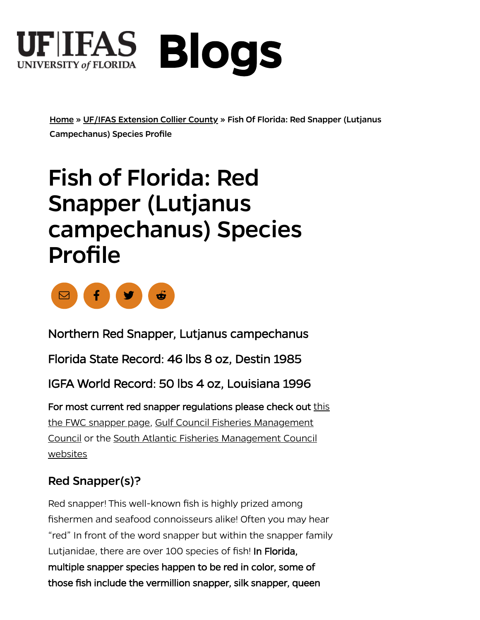

[Home](https://blogs.ifas.ufl.edu/) » [UF/IFAS Extension Collier County](https://blogs.ifas.ufl.edu/collierco) » Fish Of Florida: Red Snapper (Lutjanus Campechanus) Species Profile

# Fish of Florida: Red Snapper (Lutjanus campechanus) Species Profile



Northern Red Snapper, Lutjanus campechanus Northern Red Snapper, Lutjanus campechanus Florida State Record: 46 lbs 8 oz, Destin 1985 Florida State Record: 46 lbs 8 oz, Destin 1985 IGFA World Record: 50 lbs 4 oz, Louisiana 1996 IGFA World Record: 50 lbs 4 oz, Louisiana 1996 For most current red snapper regulations please check out this<br>the FWC snapper page, Gulf Council Fisheries Management<br>Council or the South Atlantic Fisheries Management Council the FWC snapper page, Gulf Council Fisheries Management [Council or the South Atlantic Fisheries Management Council](https://safmc.net/regulations/regulations-by-species/red-snapper/) websites

#### Red Snapper(s)?

Lutjanidae, there are over 100 species of fish! In Florida, multiple snapper species happen to be red in color, some of multiple snapper species happen to be red in color, some of those fish include the vermillion snapper, silk snapper, queen those fish include the vermillion snapper, silk snapper, queenRed snapper! This well-known fish is highly prized among fishermen and seafood connoisseurs alike! Often you may hear "red" In front of the word snapper but within the snapper family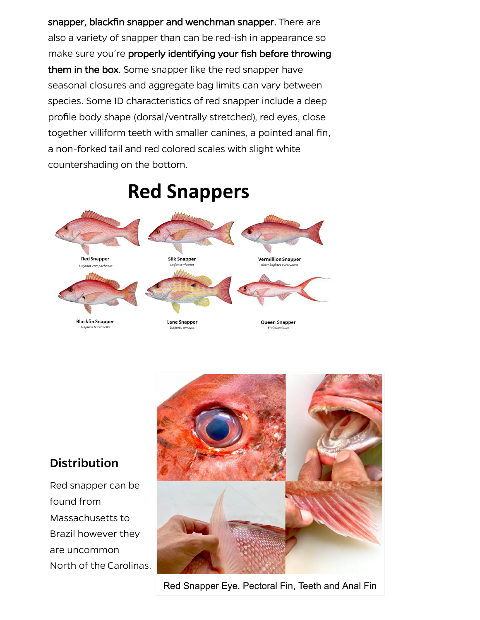**snapper, blackfin snapper and wenchman snapper.**  snapper, blackfin snapper and wenchman snapper. There are **them in the box**  them in the box. Some snapper like the red snapper have **properly identifying your fish before throwing**  make sure you're properly identifying your fish before throwing also a variety of snapper than can be red-ish in appearance so seasonal closures and aggregate bag limits can vary between species. Some ID characteristics of red snapper include a deep profile body shape (dorsal/ventrally stretched), red eyes, close together villiform teeth with smaller canines, a pointed anal fin, a non-forked tail and red colored scales with slight white countershading on the bottom.

# **Red Snappers**



#### **Distribution**

 Red snapper can be found from Massachusetts to Brazil however they are uncommon North of the Carolinas.



Red Snapper Eye, Pectoral Fin, Teeth and Anal Fin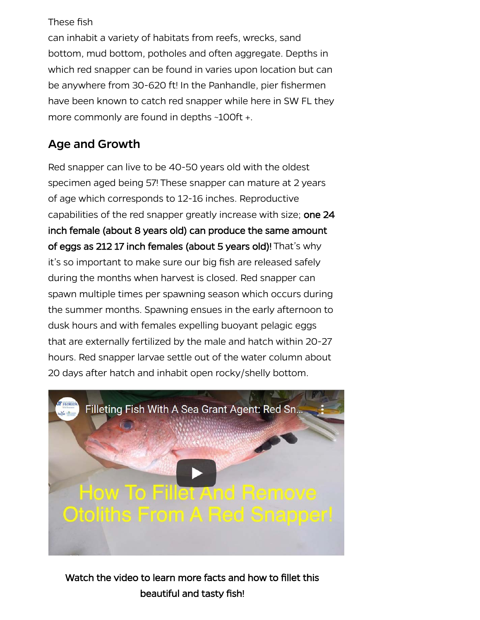#### These fish

can inhabit a variety of habitats from reefs, wrecks, sand bottom, mud bottom, potholes and often aggregate. Depths in which red snapper can be found in varies upon location but can be anywhere from 30-620 ft! In the Panhandle, pier fishermen have been known to catch red snapper while here in SW FL they more commonly are found in depths ~100ft +.

#### Age and Growth

capabilities of the red snapper greatly increase with size; one 24 inch female (about 8 years old) can produce the same amount inch female (about 8 years old) can produce the same amount of eggs as 212 17 inch females (about 5 years old)! of eggs as 212 17 inch females (about 5 years old)! That's why Red snapper can live to be 40-50 years old with the oldest specimen aged being 57! These snapper can mature at 2 years of age which corresponds to 12-16 inches. Reproductive it's so important to make sure our big fish are released safely during the months when harvest is closed. Red snapper can spawn multiple times per spawning season which occurs during the summer months. Spawning ensues in the early afternoon to dusk hours and with females expelling buoyant pelagic eggs that are externally fertilized by the male and hatch within 20-27 hours. Red snapper larvae settle out of the water column about 20 days after hatch and inhabit open rocky/shelly bottom.



Watch the video to learn more facts and how to fillet this Watch the video to learn more facts and how to fillet this beautiful and tasty fish! beautiful and tasty fish!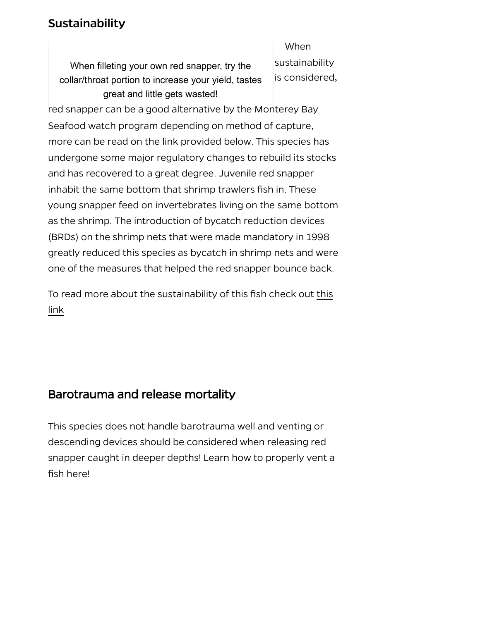#### **Sustainability**

When filleting your own red snapper, try the collar/throat portion to increase your yield, tastes great and little gets wasted!

When sustainability is considered,

 red snapper can be a good alternative by the Monterey Bay Seafood watch program depending on method of capture, more can be read on the link provided below. This species has undergone some major regulatory changes to rebuild its stocks and has recovered to a great degree. Juvenile red snapper inhabit the same bottom that shrimp trawlers fish in. These young snapper feed on invertebrates living on the same bottom as the shrimp. The introduction of bycatch reduction devices (BRDs) on the shrimp nets that were made mandatory in 1998 greatly reduced this species as bycatch in shrimp nets and were one of the measures that helped the red snapper bounce back.

To read more about the sustainability of this fish check out this link

#### Barotrauma and release mortality ty

This species does not handle barotrauma well and venting or descending devices should be considered when releasing red snapper caught in deeper depths! Learn how to properly vent a fish here!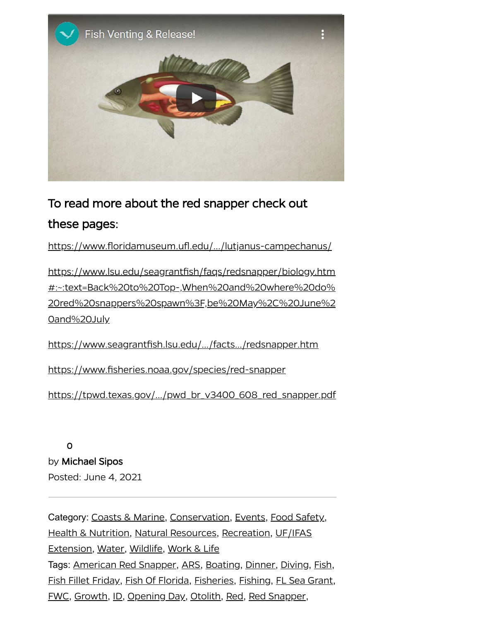

## To read more about the red snapper check out To read more about the red snapper check out these pages: these pages:

[https://www.floridamuseum.ufl.edu/…/lutjanus-campechanus/](https://www.floridamuseum.ufl.edu/discover-fish/species-profiles/lutjanus-campechanus/)

https://www.lsu.edu/seagrantfish/faqs/redsnapper/biology.htm #:~:text=Back%20to%20Top-,When%20and%20where%20do% [20red%20snappers%20spawn%3F,be%20May%2C%20June%2](https://www.lsu.edu/seagrantfish/faqs/redsnapper/biology.htm#:~:text=Back%20to%20Top-,When%20and%20where%20do%20red%20snappers%20spawn%3F,be%20May%2C%20June%20and%20July) 0and%20July

[https://www.seagrantfish.lsu.edu/…/facts…/redsnapper.htm](https://www.seagrantfish.lsu.edu/.../facts.../redsnapper.htm)

<https://www.fisheries.noaa.gov/species/red-snapper>

https://tpwd.fexas.gov/.../pwd br v3400 608 red snapper.pdf https://tpwd.texas.gov/.../pwd\_br\_v3400\_608\_red\_snapper.pdf

0 0 by Michael Sipos Posted: June 4, 2021

sion, Water, Wildlife, Work & Life<br>American Red Snapper, ARS, Boating, Dinner, Diving, Fish<br>illet Friday, Fish Of Flarida, Fisheriae, Fishing, Fl. See Great <u>illet Friday, Fish Of Florida, Fisher</u><br><u>Growth, ID, Opening Day, Otolith</u> Category: [Coasts & Marine](https://blogs.ifas.ufl.edu/collierco/category/natural-resources/coasts-and-marine/), [Conservation](https://blogs.ifas.ufl.edu/collierco/category/natural-resources/conservation/), [Events](https://blogs.ifas.ufl.edu/collierco/category/events/), [Food Safety](https://blogs.ifas.ufl.edu/collierco/category/work-and-life/food-safety/), [Health & Nutrition](https://blogs.ifas.ufl.edu/collierco/category/work-and-life/health-and-nutrition/), [Natural Resources](https://blogs.ifas.ufl.edu/collierco/category/natural-resources/), [Recreation](https://blogs.ifas.ufl.edu/collierco/category/natural-resources/recreation/), UF/IFAS Extension, [Water](https://blogs.ifas.ufl.edu/collierco/category/natural-resources/water/), [Wildlife](https://blogs.ifas.ufl.edu/collierco/category/natural-resources/wildlife/), [Work & Life](https://blogs.ifas.ufl.edu/collierco/category/work-and-life/) Tags: American Red Snapper, ARS, [Boating](https://blogs.ifas.ufl.edu/collierco/tag/boating/), Dinner, [Diving](https://blogs.ifas.ufl.edu/collierco/tag/diving/), Fish, [Fish Fillet Friday](https://blogs.ifas.ufl.edu/collierco/tag/fish-fillet-friday/), Fish Of Florida, [Fisheries](https://blogs.ifas.ufl.edu/collierco/tag/fisheries/), [Fishing](https://blogs.ifas.ufl.edu/collierco/tag/fishing/), [FL Sea Grant](https://blogs.ifas.ufl.edu/collierco/tag/fl-sea-grant/), [FWC](https://blogs.ifas.ufl.edu/collierco/tag/fwc/), Growth, ID, Opening Day, Otolith, [Red](https://blogs.ifas.ufl.edu/collierco/tag/red/), [Red Snapper](https://blogs.ifas.ufl.edu/collierco/tag/red-snapper/),